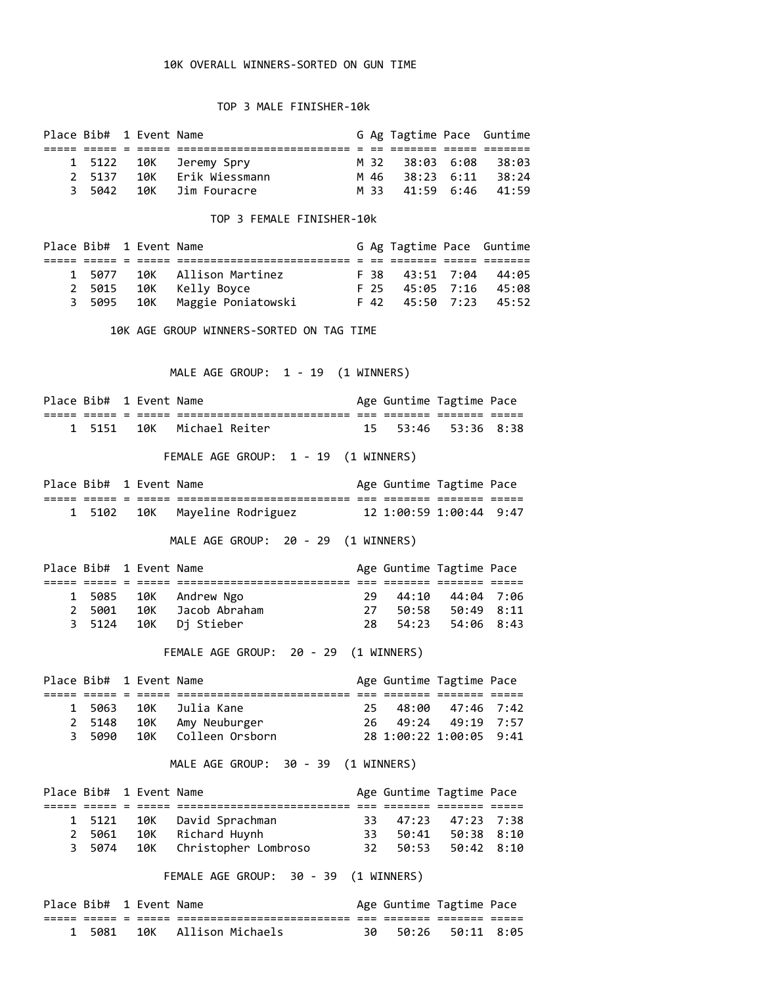## 10K OVERALL WINNERS-SORTED ON GUN TIME

## TOP 3 MALE FINISHER-10k

| Place Bib# 1 Event Name |  |                        |  | G Ag Tagtime Pace Guntime |        |
|-------------------------|--|------------------------|--|---------------------------|--------|
|                         |  |                        |  |                           |        |
|                         |  | 1 5122 10K Jeremy Spry |  | M 32 38:03 6:08           | -38:03 |
| 2 5137                  |  | 10K – Erik Wiessmann   |  | M 46 38:23 6:11           | 38:24  |
| 3 5042                  |  | 10K – Jim Fouracre     |  | M 33 41:59 6:46 41:59     |        |

TOP 3 FEMALE FINISHER-10k

| Place Bib# 1 Event Name |  |                               |  | G Ag Tagtime Pace Guntime |  |
|-------------------------|--|-------------------------------|--|---------------------------|--|
|                         |  |                               |  |                           |  |
|                         |  | 1 5077 10K Allison Martinez   |  | F 38 43:51 7:04 44:05     |  |
|                         |  | 2 5015 10K Kelly Boyce        |  | F 25 45:05 7:16 45:08     |  |
|                         |  | 3 5095 10K Maggie Poniatowski |  | $F$ 42 45:50 7:23 45:52   |  |

10K AGE GROUP WINNERS-SORTED ON TAG TIME

MALE AGE GROUP: 1 - 19 (1 WINNERS)

| Place Bib#<br>1 Event Name<br>10K<br>Michael Reiter<br>5151<br>1 | Age Guntime Tagtime Pace<br>15<br>53:46<br>53:36<br>8:38 |  |  |  |  |  |  |
|------------------------------------------------------------------|----------------------------------------------------------|--|--|--|--|--|--|
| FEMALE AGE GROUP: 1 - 19 (1 WINNERS)                             |                                                          |  |  |  |  |  |  |
| Place Bib# 1 Event Name                                          | Age Guntime Tagtime Pace                                 |  |  |  |  |  |  |
| 10K<br>Mayeline Rodriguez<br>$1 \quad$<br>5102                   | 12 1:00:59 1:00:44 9:47                                  |  |  |  |  |  |  |
| MALE AGE GROUP: 20 - 29 (1 WINNERS)                              |                                                          |  |  |  |  |  |  |
| Place Bib#<br>1 Event Name                                       | Age Guntime Tagtime Pace<br>: coccoc cocco               |  |  |  |  |  |  |
| 5085<br>10K<br>Andrew Ngo<br>1                                   | 29<br>44:10<br>44:04<br>7:06                             |  |  |  |  |  |  |
| $\overline{2}$<br>10K<br>5001<br>Jacob Abraham                   | 27<br>50:58<br>50:49<br>8:11                             |  |  |  |  |  |  |
| 3<br>5124<br>10K<br>Dj Stieber                                   | 28<br>54:23<br>54:06<br>8:43                             |  |  |  |  |  |  |
| FEMALE AGE GROUP: 20 - 29 (1 WINNERS)                            |                                                          |  |  |  |  |  |  |
| Place Bib#<br>1 Event Name                                       | Age Guntime Tagtime Pace                                 |  |  |  |  |  |  |
|                                                                  | : coccoc cocco                                           |  |  |  |  |  |  |
| 10K<br>Julia Kane<br>5063<br>1                                   | 25<br>48:00<br>47:46<br>7:42                             |  |  |  |  |  |  |
| $\mathbf{2}$<br>5148<br>10K<br>Amy Neuburger                     | 26<br>49:24<br>49:19<br>7:57                             |  |  |  |  |  |  |
| Colleen Orsborn<br>10K<br>3<br>5090                              | 28 1:00:22 1:00:05<br>9:41                               |  |  |  |  |  |  |
| MALE AGE GROUP: 30 - 39 (1 WINNERS)                              |                                                          |  |  |  |  |  |  |
| Place Bib# 1 Event Name                                          | Age Guntime Tagtime Pace                                 |  |  |  |  |  |  |
| 10K<br>5121<br>David Sprachman<br>$\mathbf{1}$                   | 33<br>47:23 7:38<br>47:23                                |  |  |  |  |  |  |
| <b>10K</b><br>5061<br>$2^{\circ}$<br>Richard Huynh               | 33<br>50:41<br>50:38<br>8:10                             |  |  |  |  |  |  |
| Christopher Lombroso<br>3<br>5074<br>10K                         | 32<br>50:42<br>8:10<br>50:53                             |  |  |  |  |  |  |
| FEMALE AGE GROUP: 30 - 39<br>(1 WINNERS)                         |                                                          |  |  |  |  |  |  |
| Place Bib#<br>1 Event Name                                       | Age Guntime Tagtime Pace                                 |  |  |  |  |  |  |
|                                                                  |                                                          |  |  |  |  |  |  |
| 10K<br>Allison Michaels<br>1<br>5081                             | 30<br>50:26<br>50:11<br>8:05                             |  |  |  |  |  |  |